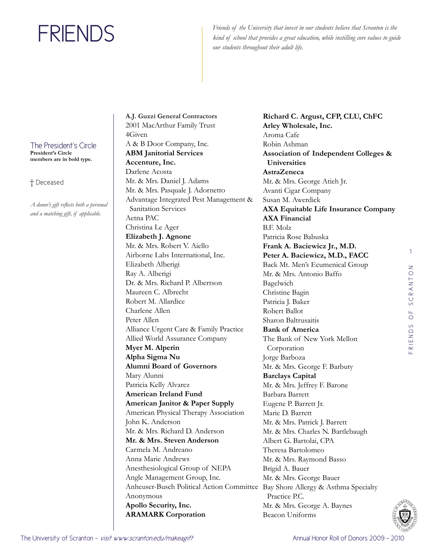Friends of the University that invest in our students believe that Scranton is the *kind of school that provides a great education, while instilling core values to guide our students throughout their adult life.*

The President's Circle **President's Circle members are in bold type.**

† Deceased

*A donor's gift reflects both a personal and a matching gift, if applicable.* 

**A.J. Guzzi General Contractors**  2001 MacArthur Family Trust 4Given A & B Door Company, Inc. **ABM Janitorial Services Accenture, Inc.**  Darlene Acosta Mr. & Mrs. Daniel J. Adams Mr. & Mrs. Pasquale J. Adornetto Advantage Integrated Pest Management & Sanitation Services Aetna PAC Christina Le Ager **Elizabeth J. Agnone**  Mr. & Mrs. Robert V. Aiello Airborne Labs International, Inc. Elizabeth Alberigi Ray A. Alberigi Dr. & Mrs. Richard P. Albertson Maureen C. Albrecht Robert M. Allardice Charlene Allen Peter Allen Alliance Urgent Care & Family Practice Allied World Assurance Company **Myer M. Alperin Alpha Sigma Nu Alumni Board of Governors**  Mary Alunni Patricia Kelly Alvarez **American Ireland Fund American Janitor & Paper Supply**  American Physical Therapy Association John K. Anderson Mr. & Mrs. Richard D. Anderson **Mr. & Mrs. Steven Anderson**  Carmela M. Andreano Anna Marie Andrews Anesthesiological Group of NEPA Angle Management Group, Inc. Anheuser-Busch Political Action Committee Bay Shore Allergy & Asthma Specialty Anonymous **Apollo Security, Inc. ARAMARK Corporation** 

**Richard C. Argust, CFP, CLU, ChFC Arley Wholesale, Inc.**  Aroma Cafe Robin Ashman **Association of Independent Colleges & Universities AstraZeneca**  Mr. & Mrs. George Atieh Jr. Avanti Cigar Company Susan M. Awerdick **AXA Equitable Life Insurance Company AXA Financial**  B.F. Molz Patricia Rose Babuska **Frank A. Baciewicz Jr., M.D. Peter A. Baciewicz, M.D., FACC**  Back Mt. Men's Ecumenical Group Mr. & Mrs. Antonio Baffo Bagelwich Christine Bagin Patricia J. Baker Robert Ballot Sharon Baltrusaitis **Bank of America**  The Bank of New York Mellon Corporation Jorge Barboza Mr. & Mrs. George F. Barbuty **Barclays Capital**  Mr. & Mrs. Jeffrey F. Barone Barbara Barrett Eugene P. Barrett Jr. Marie D. Barrett Mr. & Mrs. Patrick J. Barrett Mr. & Mrs. Charles N. Bartlebaugh Albert G. Bartolai, CPA Theresa Bartolomeo Mr. & Mrs. Raymond Basso Brigid A. Bauer Mr. & Mrs. George Bauer Practice P.C. Mr. & Mrs. George A. Baynes Beacon Uniforms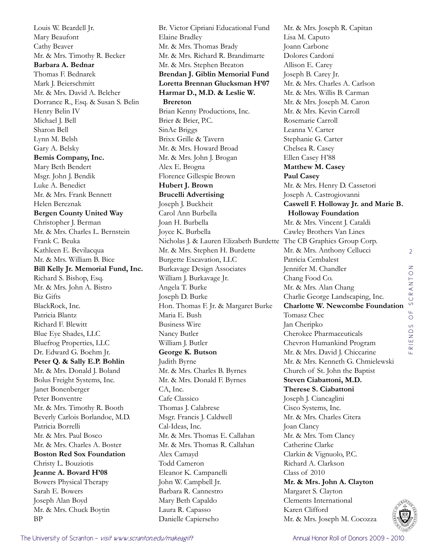Louis W. Beardell Jr. Mary Beaufont Cathy Beaver Mr. & Mrs. Timothy R. Becker **Barbara A. Bednar**  Thomas F. Bednarek Mark J. Beierschmitt Mr. & Mrs. David A. Belcher Dorrance R., Esq. & Susan S. Belin Henry Belin IV Michael J. Bell Sharon Bell Lynn M. Belsh Gary A. Belsky **Bemis Company, Inc.**  Mary Beth Bendert Msgr. John J. Bendik Luke A. Benedict Mr. & Mrs. Frank Bennett Helen Bereznak **Bergen County United Way**  Christopher J. Berman Mr. & Mrs. Charles L. Bernstein Frank C. Beuka Kathleen E. Bevilacqua Mr. & Mrs. William B. Bice **Bill Kelly Jr. Memorial Fund, Inc.**  Richard S. Bishop, Esq. Mr. & Mrs. John A. Bistro Biz Gifts BlackRock, Inc. Patricia Blantz Richard F. Blewitt Blue Eye Shades, LLC Bluefrog Properties, LLC Dr. Edward G. Boehm Jr. **Peter Q. & Sally E.P. Bohlin** Mr. & Mrs. Donald J. Boland Bolus Freight Systems, Inc. Janet Bonenberger Peter Bonventre Mr. & Mrs. Timothy R. Booth Beverly Carlois Borlandoe, M.D. Patricia Borrelli Mr. & Mrs. Paul Bosco Mr. & Mrs. Charles A. Boster **Boston Red Sox Foundation**  Christy L. Bouziotis **Jeanne A. Bovard H'08** Bowers Physical Therapy Sarah E. Bowers Joseph Alan Boyd Mr. & Mrs. Chuck Boytin BP

Br. Victor Cipriani Educational Fund Elaine Bradley Mr. & Mrs. Thomas Brady Mr. & Mrs. Richard R. Brandimarte Mr. & Mrs. Stephen Breaton **Brendan J. Giblin Memorial Fund Loretta Brennan Glucksman H'07 Harmar D., M.D. & Leslie W. Brereton** Brian Kenny Productions, Inc. Brier & Brier, P.C. SinAe Briggs Brixx Grille & Tavern Mr. & Mrs. Howard Broad Mr. & Mrs. John J. Brogan Alex E. Brogna Florence Gillespie Brown **Hubert J. Brown Brucelli Advertising**  Joseph J. Buckheit Carol Ann Burbella Joan H. Burbella Joyce K. Burbella Nicholas J. & Lauren Elizabeth Burdette The CB Graphics Group Corp. Mr. & Mrs. Stephen H. Burdette Burgette Excavation, LLC Burkavage Design Associates William J. Burkavage Jr. Angela T. Burke Joseph D. Burke Hon. Thomas F. Jr. & Margaret Burke Maria E. Bush Business Wire Nancy Butler William J. Butler **George K. Butson**  Judith Byrne Mr. & Mrs. Charles B. Byrnes Mr. & Mrs. Donald F. Byrnes CA, Inc. Cafe Classico Thomas J. Calabrese Msgr. Francis J. Caldwell Cal-Ideas, Inc. Mr. & Mrs. Thomas E. Callahan Mr. & Mrs. Thomas R. Callahan Alex Camayd Todd Cameron Eleanor K. Campanelli John W. Campbell Jr. Barbara R. Cannestro Mary Beth Capaldo Laura R. Capasso Danielle Capierseho

Mr. & Mrs. Joseph R. Capitan Lisa M. Caputo Joann Carbone Dolores Cardoni Allison E. Carey Joseph B. Carey Jr. Mr. & Mrs. Charles A. Carlson Mr. & Mrs. Willis B. Carman Mr. & Mrs. Joseph M. Caron Mr. & Mrs. Kevin Carroll Rosemarie Carroll Leanna V. Carter Stephanie G. Carter Chelsea R. Casey Ellen Casey H'88 **Matthew M. Casey Paul Casey**  Mr. & Mrs. Henry D. Cassetori Joseph A. Castrogiovanni **Caswell F. Holloway Jr. and Marie B. Holloway Foundation**  Mr. & Mrs. Vincent J. Cataldi Cawley Brothers Van Lines Mr. & Mrs. Anthony Cellucci Patricia Cembalest Jennifer M. Chandler Chang Food Co. Mr. & Mrs. Alan Chang Charlie George Landscaping, Inc. **Charlotte W. Newcombe Foundation**  Tomasz Chec Jan Cheripko Cherokee Pharmaceuticals Chevron Humankind Program Mr. & Mrs. David J. Chiccarine Mr. & Mrs. Kenneth G. Chmielewski Church of St. John the Baptist **Steven Ciabattoni, M.D. Therese S. Ciabattoni**  Joseph J. Ciancaglini Cisco Systems, Inc. Mr. & Mrs. Charles Citera Joan Clancy Mr. & Mrs. Tom Clancy Catherine Clarke Clarkin & Vignuolo, P.C. Richard A. Clarkson Class of 2010 **Mr. & Mrs. John A. Clayton**  Margaret S. Clayton Clements International Karen Clifford Mr. & Mrs. Joseph M. Cocozza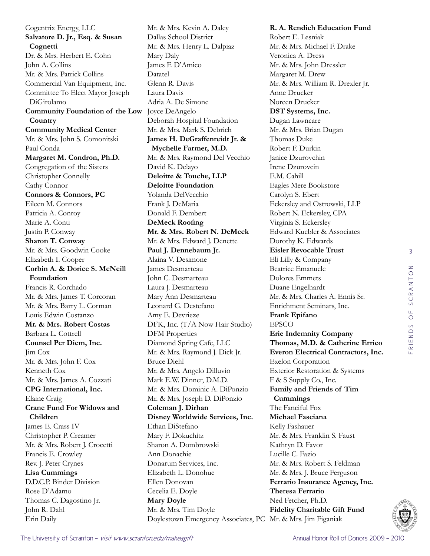3 RIENDS OF SCRANTON friends of scranton

Cogentrix Energy, LLC **Salvatore D. Jr., Esq. & Susan Cognetti** Dr. & Mrs. Herbert E. Cohn John A. Collins Mr. & Mrs. Patrick Collins Commercial Van Equipment, Inc. Committee To Elect Mayor Joseph DiGirolamo **Community Foundation of the Low Country Community Medical Center**  Mr. & Mrs. John S. Comonitski Paul Conda **Margaret M. Condron, Ph.D.**  Congregation of the Sisters Christopher Connelly Cathy Connor **Connors & Connors, PC**  Eileen M. Connors Patricia A. Conroy Marie A. Conti Justin P. Conway **Sharon T. Conway**  Mr. & Mrs. Goodwin Cooke Elizabeth I. Cooper **Corbin A. & Dorice S. McNeill Foundation**  Francis R. Corchado Mr. & Mrs. James T. Corcoran Mr. & Mrs. Barry L. Corman Louis Edwin Costanzo **Mr. & Mrs. Robert Costas**  Barbara L. Cottrell **Counsel Per Diem, Inc.**  Jim Cox Mr. & Mrs. John F. Cox Kenneth Cox Mr. & Mrs. James A. Cozzati **CPG International, Inc.**  Elaine Craig **Crane Fund For Widows and Children**  James E. Crass IV Christopher P. Creamer Mr. & Mrs. Robert J. Crocetti Francis E. Crowley Rev. J. Peter Crynes **Lisa Cummings**  D.D.C.P. Binder Division Rose D'Adamo Thomas C. Dagostino Jr. John R. Dahl Erin Daily

Mr. & Mrs. Kevin A. Daley Dallas School District Mr. & Mrs. Henry L. Dalpiaz Mary Daly James F. D'Amico Datatel Glenn R. Davis Laura Davis Adria A. De Simone Joyce DeAngelo Deborah Hospital Foundation Mr. & Mrs. Mark S. Debrich **James H. DeGraffenreidt Jr. & Mychelle Farmer, M.D.** Mr. & Mrs. Raymond Del Vecchio David K. Delayo **Deloitte & Touche, LLP Deloitte Foundation**  Yolanda DelVecchio Frank J. DeMaria Donald F. Dembert **DeMeck Roofing Mr. & Mrs. Robert N. DeMeck**  Mr. & Mrs. Edward J. Denette **Paul J. Dennebaum Jr.**  Alaina V. Desimone James Desmarteau John C. Desmarteau Laura J. Desmarteau Mary Ann Desmarteau Leonard G. Destefano Amy E. Devrieze DFK, Inc. (T/A Now Hair Studio) DFM Properties Diamond Spring Cafe, LLC Mr. & Mrs. Raymond J. Dick Jr. Bruce Diehl Mr. & Mrs. Angelo Dilluvio Mark E.W. Dinner, D.M.D. Mr. & Mrs. Dominic A. DiPonzio Mr. & Mrs. Joseph D. DiPonzio **Coleman J. Dirhan Disney Worldwide Services, Inc.**  Ethan DiStefano Mary F. Dokuchitz Sharon A. Dombrowski Ann Donachie Donarum Services, Inc. Elizabeth L. Donohue Ellen Donovan Cecelia E. Doyle **Mary Doyle**  Mr. & Mrs. Tim Doyle Doylestown Emergency Associates, PC Mr. & Mrs. Jim Figaniak

**R. A. Rendich Education Fund**  Robert E. Lesniak Mr. & Mrs. Michael F. Drake Veronica A. Dress Mr. & Mrs. John Dressler Margaret M. Drew Mr. & Mrs. William R. Drexler Jr. Anne Drucker Noreen Drucker **DST Systems, Inc.**  Dugan Lawncare Mr. & Mrs. Brian Dugan Thomas Duke Robert F. Durkin Janice Dzurovchin Irene Dzurovcin E.M. Cahill Eagles Mere Bookstore Carolyn S. Ebert Eckersley and Ostrowski, LLP Robert N. Eckersley, CPA Virginia S. Eckersley Edward Kuebler & Associates Dorothy K. Edwards **Eisler Revocable Trust**  Eli Lilly & Company Beatrice Emanuele Dolores Emmets Duane Engelhardt Mr. & Mrs. Charles A. Ennis Sr. Enrichment Seminars, Inc. **Frank Epifano**  EPSCO **Erie Indemnity Company Thomas, M.D. & Catherine Errico Everon Electrical Contractors, Inc.**  Exelon Corporation Exterior Restoration & Systems F & S Supply Co., Inc. **Family and Friends of Tim Cummings**  The Fanciful Fox **Michael Fasciana**  Kelly Fashauer Mr. & Mrs. Franklin S. Faust Kathryn D. Favor Lucille C. Fazio Mr. & Mrs. Robert S. Feldman Mr. & Mrs. J. Bruce Ferguson **Ferrario Insurance Agency, Inc. Theresa Ferrario**  Ned Fetcher, Ph.D. **Fidelity Charitable Gift Fund** 

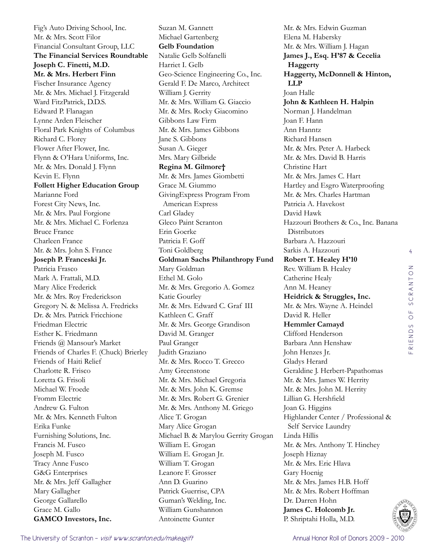Fig's Auto Driving School, Inc. Mr. & Mrs. Scott Filor Financial Consultant Group, LLC **The Financial Services Roundtable Joseph C. Finetti, M.D. Mr. & Mrs. Herbert Finn**  Fischer Insurance Agency Mr. & Mrs. Michael J. Fitzgerald Ward FitzPatrick, D.D.S. Edward P. Flanagan Lynne Arden Fleischer Floral Park Knights of Columbus Richard C. Florey Flower After Flower, Inc. Flynn & O'Hara Uniforms, Inc. Mr. & Mrs. Donald J. Flynn Kevin E. Flynn **Follett Higher Education Group**  Marianne Ford Forest City News, Inc. Mr. & Mrs. Paul Forgione Mr. & Mrs. Michael C. Forlenza Bruce France Charleen France Mr. & Mrs. John S. France **Joseph P. Franceski Jr.**  Patricia Frasco Mark A. Frattali, M.D. Mary Alice Frederick Mr. & Mrs. Roy Frederickson Gregory N. & Melissa A. Fredricks Dr. & Mrs. Patrick Fricchione Friedman Electric Esther K. Friedmann Friends @ Mansour's Market Friends of Charles F. (Chuck) Brierley Friends of Haiti Relief Charlotte R. Frisco Loretta G. Frisoli Michael W. Froede Fromm Electric Andrew G. Fulton Mr. & Mrs. Kenneth Fulton Erika Funke Furnishing Solutions, Inc. Francis M. Fusco Joseph M. Fusco Tracy Anne Fusco G&G Enterprises Mr. & Mrs. Jeff Gallagher Mary Gallagher George Gallarello Grace M. Gallo **GAMCO Investors, Inc.** 

Suzan M. Gannett Michael Gartenberg **Gelb Foundation**  Natalie Gelb Solfanelli Harriet I. Gelb Geo-Science Engineering Co., Inc. Gerald F. De Marco, Architect William J. Gerrity Mr. & Mrs. William G. Giaccio Mr. & Mrs. Rocky Giacomino Gibbons Law Firm Mr. & Mrs. James Gibbons Jane S. Gibbons Susan A. Gieger Mrs. Mary Gilbride **Regina M. Gilmore†** Mr. & Mrs. James Giombetti Grace M. Giummo GivingExpress Program From American Express Carl Gladey Gleco Paint Scranton Erin Goerke Patricia F. Goff Toni Goldberg **Goldman Sachs Philanthropy Fund**  Mary Goldman Ethel M. Golo Mr. & Mrs. Gregorio A. Gomez Katie Gourley Mr. & Mrs. Edward C. Graf III Kathleen C. Graff Mr. & Mrs. George Grandison David M. Granger Paul Granger Judith Graziano Mr. & Mrs. Rocco T. Grecco Amy Greenstone Mr. & Mrs. Michael Gregoria Mr. & Mrs. John K. Gremse Mr. & Mrs. Robert G. Grenier Mr. & Mrs. Anthony M. Griego Alice T. Grogan Mary Alice Grogan Michael B. & Marylou Gerrity Grogan William E. Grogan William E. Grogan Jr. William T. Grogan Leanore F. Grosser Ann D. Guarino Patrick Guerrise, CPA Guman's Welding, Inc. William Gunshannon Antoinette Gunter

Mr. & Mrs. Edwin Guzman Elena M. Habersky Mr. & Mrs. William J. Hagan **James J., Esq. H'87 & Cecelia Haggerty Haggerty, McDonnell & Hinton, LLP**  Joan Halle **John & Kathleen H. Halpin** Norman J. Handelman Joan F. Hann Ann Hanntz Richard Hansen Mr. & Mrs. Peter A. Harbeck Mr. & Mrs. David B. Harris Christine Hart Mr. & Mrs. James C. Hart Hartley and Esgro Waterproofing Mr. & Mrs. Charles Hartman Patricia A. Havekost David Hawk Hazzouri Brothers & Co., Inc. Banana **Distributors** Barbara A. Hazzouri Sarkis A. Hazzouri **Robert T. Healey H'10** Rev. William B. Healey Catherine Healy Ann M. Heaney **Heidrick & Struggles, Inc.**  Mr. & Mrs. Wayne A. Heindel David R. Heller **Hemmler Camayd**  Clifford Henderson Barbara Ann Henshaw John Henzes Jr. Gladys Herard Geraldine J. Herbert-Papathomas Mr. & Mrs. James W. Herrity Mr. & Mrs. John M. Herrity Lillian G. Hershfield Joan G. Higgins Highlander Center / Professional & Self Service Laundry Linda Hillis Mr. & Mrs. Anthony T. Hinchey Joseph Hiznay Mr. & Mrs. Eric Hlava Gary Hoenig Mr. & Mrs. James H.B. Hoff Mr. & Mrs. Robert Hoffman Dr. Darren Hohn **James C. Holcomb Jr.**  P. Shriptahi Holla, M.D.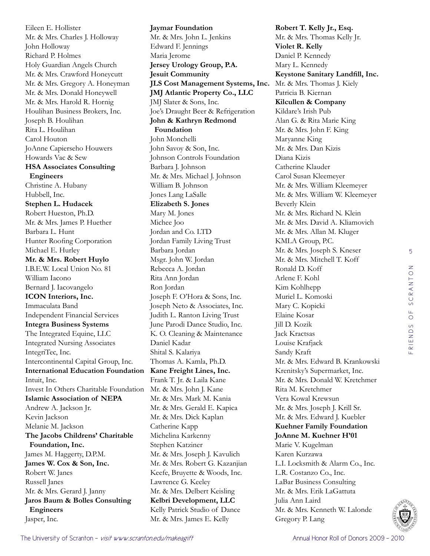Eileen E. Hollister Mr. & Mrs. Charles J. Holloway John Holloway Richard P. Holmes Holy Guardian Angels Church Mr. & Mrs. Crawford Honeycutt Mr. & Mrs. Gregory A. Honeyman Mr. & Mrs. Donald Honeywell Mr. & Mrs. Harold R. Hornig Houlihan Business Brokers, Inc. Joseph B. Houlihan Rita L. Houlihan Carol Houton JoAnne Capierseho Houwers Howards Vac & Sew **HSA Associates Consulting Engineers**  Christine A. Hubany Hubbell, Inc. **Stephen L. Hudacek**  Robert Hueston, Ph.D. Mr. & Mrs. James P. Huether Barbara L. Hunt Hunter Roofing Corporation Michael E. Hurley **Mr. & Mrs. Robert Huylo**  I.B.E.W. Local Union No. 81 William Iacono Bernard J. Iacovangelo **ICON Interiors, Inc.**  Immaculata Band Independent Financial Services **Integra Business Systems**  The Integrated Equine, LLC Integrated Nursing Associates IntegriTec, Inc. Intercontinental Capital Group, Inc. **International Education Foundation**  Intuit, Inc. Invest In Others Charitable Foundation Mr. & Mrs. John J. Kane **Islamic Association of NEPA**  Andrew A. Jackson Jr. Kevin Jackson Melanie M. Jackson **The Jacobs Childrens' Charitable Foundation, Inc.**  James M. Haggerty, D.P.M. **James W. Cox & Son, Inc.**  Robert W. Janes Russell Janes Mr. & Mrs. Gerard J. Janny **Jaros Baum & Bolles Consulting Engineers**  Jasper, Inc.

**Jaymar Foundation**  Mr. & Mrs. John L. Jenkins Edward F. Jennings Maria Jerome **Jersey Urology Group, P.A. Jesuit Community JLS Cost Management Systems, Inc. JMJ Atlantic Property Co., LLC**  JMJ Slater & Sons, Inc. Joe's Draught Beer & Refrigeration **John & Kathryn Redmond Foundation**  John Monchelli John Savoy & Son, Inc. Johnson Controls Foundation Barbara J. Johnson Mr. & Mrs. Michael J. Johnson William B. Johnson Jones Lang LaSalle **Elizabeth S. Jones**  Mary M. Jones Michee Joo Jordan and Co. LTD Jordan Family Living Trust Barbara Jordan Msgr. John W. Jordan Rebecca A. Jordan Rita Ann Jordan Ron Jordan Joseph F. O'Hora & Sons, Inc. Joseph Neto & Associates, Inc. Judith L. Ranton Living Trust June Parodi Dance Studio, Inc. K. O. Cleaning & Maintenance Daniel Kadar Shital S. Kalariya Thomas A. Kamla, Ph.D. **Kane Freight Lines, Inc.**  Frank T. Jr. & Laila Kane Mr. & Mrs. Mark M. Kania Mr. & Mrs. Gerald E. Kapica Mr. & Mrs. Dick Kaplan Catherine Kapp Michelina Karkenny Stephen Katziner Mr. & Mrs. Joseph J. Kavulich Mr. & Mrs. Robert G. Kazanjian Keefe, Bruyette & Woods, Inc. Lawrence G. Keeley Mr. & Mrs. Delbert Keisling **Kelbri Development, LLC**  Kelly Patrick Studio of Dance Mr. & Mrs. James E. Kelly

**Robert T. Kelly Jr., Esq.**  Mr. & Mrs. Thomas Kelly Jr. **Violet R. Kelly**  Daniel P. Kennedy Mary L. Kennedy **Keystone Sanitary Landfill, Inc.**  Mr. & Mrs. Thomas J. Kiely Patricia B. Kiernan **Kilcullen & Company**  Kildare's Irish Pub Alan G. & Rita Marie King Mr. & Mrs. John F. King Maryanne King Mr. & Mrs. Dan Kizis Diana Kizis Catherine Klauder Carol Susan Kleemeyer Mr. & Mrs. William Kleemeyer Mr. & Mrs. William W. Kleemeyer Beverly Klein Mr. & Mrs. Richard N. Klein Mr. & Mrs. David A. Kliamovich Mr. & Mrs. Allan M. Kluger KMLA Group, P.C. Mr. & Mrs. Joseph S. Kneser Mr. & Mrs. Mitchell T. Koff Ronald D. Koff Arlene F. Kohl Kim Kohlhepp Muriel L. Komoski Mary C. Kopicki Elaine Kosar Jill D. Kozik Jack Kractsas Louise Krafjack Sandy Kraft Mr. & Mrs. Edward B. Krankowski Krenitsky's Supermarket, Inc. Mr. & Mrs. Donald W. Kretchmer Rita M. Kretchmer Vera Kowal Krewsun Mr. & Mrs. Joseph J. Krill Sr. Mr. & Mrs. Edward J. Kuebler **Kuehner Family Foundation JoAnne M. Kuehner H'01** Marie V. Kugelman Karen Kurzawa L.I. Locksmith & Alarm Co., Inc. L.R. Costanzo Co., Inc. LaBar Business Consulting Mr. & Mrs. Erik LaGattuta Julia Ann Laird Mr. & Mrs. Kenneth W. Lalonde Gregory P. Lang

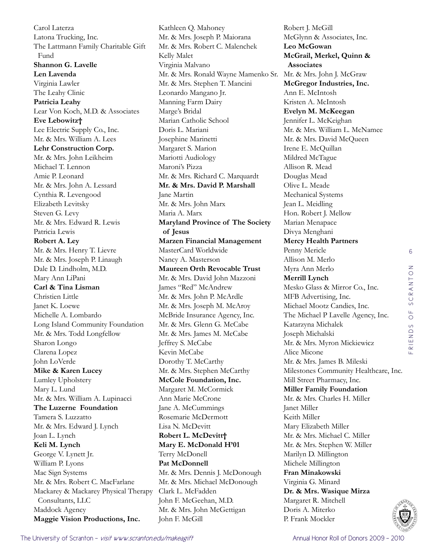Carol Laterza Latona Trucking, Inc. The Lattmann Family Charitable Gift Fund **Shannon G. Lavelle Len Lavenda**  Virginia Lawler The Leahy Clinic **Patricia Leahy**  Lear Von Koch, M.D. & Associates **Eve Lebowitz†** Lee Electric Supply Co., Inc. Mr. & Mrs. William A. Lees **Lehr Construction Corp.**  Mr. & Mrs. John Leikheim Michael T. Lennon Amie P. Leonard Mr. & Mrs. John A. Lessard Cynthia R. Levengood Elizabeth Levitsky Steven G. Levy Mr. & Mrs. Edward R. Lewis Patricia Lewis **Robert A. Ley**  Mr. & Mrs. Henry T. Lievre Mr. & Mrs. Joseph P. Linaugh Dale D. Lindholm, M.D. Mary Ann LiPani **Carl & Tina Lisman** Christien Little Janet K. Loewe Michelle A. Lombardo Long Island Community Foundation Mr. & Mrs. Todd Longfellow Sharon Longo Clarena Lopez John LoVerde **Mike & Karen Lucey** Lumley Upholstery Mary L. Lund Mr. & Mrs. William A. Lupinacci **The Luzerne Foundation**  Tamera S. Luzzatto Mr. & Mrs. Edward J. Lynch Joan L. Lynch **Keli M. Lynch**  George V. Lynett Jr. William P. Lyons Mac Sign Systems Mr. & Mrs. Robert C. MacFarlane Mackarey & Mackarey Physical Therapy Consultants, LLC Maddock Agency **Maggie Vision Productions, Inc.** 

Kathleen Q. Mahoney Mr. & Mrs. Joseph P. Maiorana Mr. & Mrs. Robert C. Malenchek Kelly Malet Virginia Malvano Mr. & Mrs. Ronald Wayne Mamenko Sr. Mr. & Mrs. John J. McGraw Mr. & Mrs. Stephen T. Mancini Leonardo Mangano Jr. Manning Farm Dairy Marge's Bridal Marian Catholic School Doris L. Mariani Josephine Marinetti Margaret S. Marion Mariotti Audiology Maroni's Pizza Mr. & Mrs. Richard C. Marquardt **Mr. & Mrs. David P. Marshall**  Jane Martin Mr. & Mrs. John Marx Maria A. Marx **Maryland Province of The Society of Jesus Marzen Financial Management**  MasterCard Worldwide Nancy A. Masterson **Maureen Orth Revocable Trust**  Mr. & Mrs. David John Mazzoni James "Red" McAndrew Mr. & Mrs. John P. McArdle Mr. & Mrs. Joseph M. McAroy McBride Insurance Agency, Inc. Mr. & Mrs. Glenn G. McCabe Mr. & Mrs. James M. McCabe Jeffrey S. McCabe Kevin McCabe Dorothy T. McCarthy Mr. & Mrs. Stephen McCarthy **McCole Foundation, Inc.**  Margaret M. McCormick Ann Marie McCrone Jane A. McCummings Rosemarie McDermott Lisa N. McDevitt **Robert L. McDevitt† Mary E. McDonald H'01** Terry McDonell **Pat McDonnell**  Mr. & Mrs. Dennis J. McDonough Mr. & Mrs. Michael McDonough Clark L. McFadden John F. McGeehan, M.D. Mr. & Mrs. John McGettigan John F. McGill

Robert J. McGill McGlynn & Associates, Inc. **Leo McGowan McGrail, Merkel, Quinn & Associates McGregor Industries, Inc.**  Ann E. McIntosh Kristen A. McIntosh **Evelyn M. McKeegan**  Jennifer L. McKeighan Mr. & Mrs. William L. McNamee Mr. & Mrs. David McQueen Irene E. McQuillan Mildred McTague Allison R. Mead Douglas Mead Olive L. Meade Mechanical Systems Jean L. Meidling Hon. Robert J. Mellow Marian Menapace Divya Menghani **Mercy Health Partners**  Penny Mericle Allison M. Merlo Myra Ann Merlo **Merrill Lynch**  Mesko Glass & Mirror Co., Inc. MFB Advertising, Inc. Michael Mootz Candies, Inc. The Michael P Lavelle Agency, Inc. Katarzyna Michalek Joseph Michalski Mr. & Mrs. Myron Mickiewicz Alice Micone Mr. & Mrs. James B. Mileski Milestones Community Healthcare, Inc. Mill Street Pharmacy, Inc. **Miller Family Foundation**  Mr. & Mrs. Charles H. Miller Janet Miller Keith Miller Mary Elizabeth Miller Mr. & Mrs. Michael C. Miller Mr. & Mrs. Stephen W. Miller Marilyn D. Millington Michele Millington **Fran Minakowski** Virginia G. Minard **Dr. & Mrs. Wasique Mirza** Margaret R. Mitchell Doris A. Miterko P. Frank Mockler

6

friends of scranton

RIENDS OF SCRANTON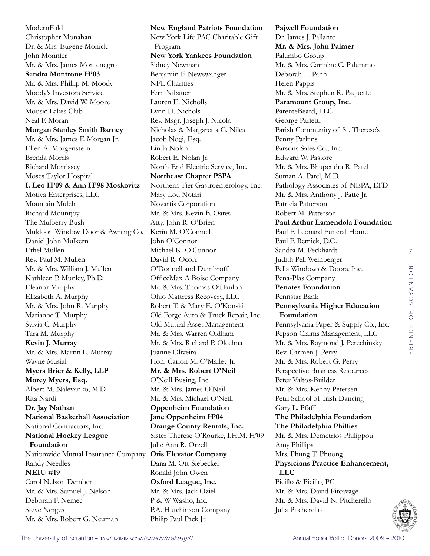ModernFold Christopher Monahan Dr. & Mrs. Eugene Monick† John Monnier Mr. & Mrs. James Montenegro **Sandra Montrone H'03** Mr. & Mrs. Phillip M. Moody Moody's Investors Service Mr. & Mrs. David W. Moore Moosic Lakes Club Neal F. Moran **Morgan Stanley Smith Barney**  Mr. & Mrs. James F. Morgan Jr. Ellen A. Morgenstern Brenda Morris Richard Morrissey Moses Taylor Hospital **I. Leo H'09 & Ann H'98 Moskovitz** Motiva Enterprises, LLC Mountain Mulch Richard Mountjoy The Mulberry Bush Muldoon Window Door & Awning Co. Daniel John Mulkern Ethel Mullen Rev. Paul M. Mullen Mr. & Mrs. William J. Mullen Kathleen P. Munley, Ph.D. Eleanor Murphy Elizabeth A. Murphy Mr. & Mrs. John R. Murphy Marianne T. Murphy Sylvia C. Murphy Tara M. Murphy **Kevin J. Murray**  Mr. & Mrs. Martin L. Murray Wayne Musial **Myers Brier & Kelly, LLP Morey Myers, Esq.**  Albert M. Nalevanko, M.D. Rita Nardi **Dr. Jay Nathan National Basketball Association**  National Contractors, Inc. **National Hockey League Foundation**  Nationwide Mutual Insurance Company **Otis Elevator Company**  Randy Needles **NEIU #19**  Carol Nelson Dembert Mr. & Mrs. Samuel J. Nelson Deborah F. Nemec Steve Nerges Mr. & Mrs. Robert G. Neuman

**New England Patriots Foundation**  New York Life PAC Charitable Gift Program **New York Yankees Foundation**  Sidney Newman Benjamin F. Newswanger NFL Charities Fern Nibauer Lauren E. Nicholls Lynn H. Nichols Rev. Msgr. Joseph J. Nicolo Nicholas & Margaretta G. Niles Jacob Nogi, Esq. Linda Nolan Robert E. Nolan Jr. North End Electric Service, Inc. **Northeast Chapter PSPA**  Northern Tier Gastroenterology, Inc. Mary Lou Notari Novartis Corporation Mr. & Mrs. Kevin B. Oates Atty. John R. O'Brien Kerin M. O'Connell John O'Connor Michael K. O'Connor David R. Ocorr O'Donnell and Dumbroff OfficeMax A Boise Company Mr. & Mrs. Thomas O'Hanlon Ohio Mattress Recovery, LLC Robert T. & Mary E. O'Konski Old Forge Auto & Truck Repair, Inc. Old Mutual Asset Management Mr. & Mrs. Warren Oldham Mr. & Mrs. Richard P. Olechna Joanne Oliveira Hon. Carlon M. O'Malley Jr. **Mr. & Mrs. Robert O'Neil**  O'Neill Busing, Inc. Mr. & Mrs. James O'Neill Mr. & Mrs. Michael O'Neill **Oppenheim Foundation Jane Oppenheim H'04 Orange County Rentals, Inc.**  Sister Therese O'Rourke, I.H.M. H'09 Julie Ann R. Orzell Dana M. Ott-Siebecker Ronald John Owen **Oxford League, Inc.**  Mr. & Mrs. Jack Oziel P & W Washo, Inc. P.A. Hutchinson Company Philip Paul Pack Jr.

**Pajwell Foundation**  Dr. James J. Pallante **Mr. & Mrs. John Palmer**  Palumbo Group Mr. & Mrs. Carmine C. Palummo Deborah L. Pann Helen Pappis Mr. & Mrs. Stephen R. Paquette **Paramount Group, Inc.**  ParenteBeard, LLC George Parietti Parish Community of St. Therese's Penny Parkins Parsons Sales Co., Inc. Edward W. Pastore Mr. & Mrs. Bhupendra R. Patel Suman A. Patel, M.D. Pathology Associates of NEPA, LTD. Mr. & Mrs. Anthony J. Patte Jr. Patricia Patterson Robert M. Patterson **Paul Arthur Lamendola Foundation**  Paul F. Leonard Funeral Home Paul F. Remick, D.O. Sandra M. Peckhardt Judith Pell Weinberger Pella Windows & Doors, Inc. Pena-Plas Company **Penates Foundation**  Pennstar Bank **Pennsylvania Higher Education Foundation**  Pennsylvania Paper & Supply Co., Inc. Pepson Claims Management, LLC Mr. & Mrs. Raymond J. Perechinsky Rev. Carmen J. Perry Mr. & Mrs. Robert G. Perry Perspective Business Resources Peter Valtos-Builder Mr. & Mrs. Kenny Petersen Petri School of Irish Dancing Gary L. Pfaff **The Philadelphia Foundation The Philadelphia Phillies**  Mr. & Mrs. Demetrios Philippou Amy Phillips Mrs. Phung T. Phuong **Physicians Practice Enhancement, LLC**  Picillo & Picillo, PC Mr. & Mrs. David Pitcavage Mr. & Mrs. David N. Pitcherello Julia Pitcherello

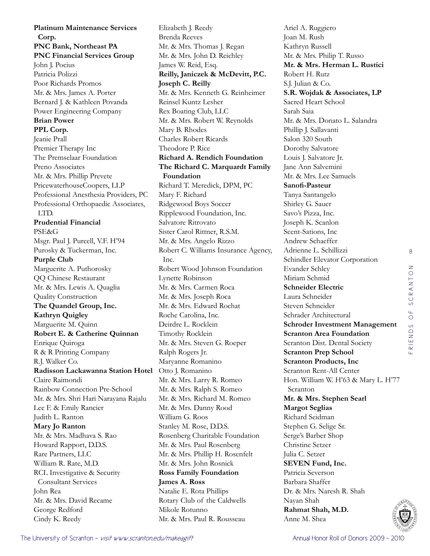**Platinum Maintenance Services Corp. PNC Bank, Northeast PA PNC Financial Services Group**  John J. Pocius Patricia Polizzi Poor Richards Promos Mr. & Mrs. James A. Porter Bernard J. & Kathleen Povanda Power Engineering Company **Brian Power PPL Corp.**  Jeanie Prall Premier Therapy Inc The Premselaar Foundation Preno Associates Mr. & Mrs. Phillip Prevete PricewaterhouseCoopers, LLP Professional Anesthesia Providers, PC Professional Orthopaedic Associates, LTD. **Prudential Financial**  PSE&G Msgr. Paul J. Purcell, V.F. H'94 Purosky & Tuckerman, Inc. **Purple Club**  Marguerite A. Puthorosky QQ Chinese Restaurant Mr. & Mrs. Lewis A. Quaglia Quality Construction **The Quandel Group, Inc. Kathryn Quigley**  Marguerite M. Quinn **Robert E. & Catherine Quinnan** Enrique Quiroga R & R Printing Company R.J. Walker Co. **Radisson Lackawanna Station Hotel**  Claire Raimondi Rainbow Connection Pre-School Mr. & Mrs. Shri Hari Narayana Rajalu Lee F. & Emily Rancier Judith L. Ranton **Mary Jo Ranton**  Mr. & Mrs. Madhava S. Rao Howard Rapport, D.D.S. Rare Partners, LLC William R. Rate, M.D. RCL Investigative & Security Consultant Services John Rea Mr. & Mrs. David Recame George Redford Cindy K. Reedy

Elizabeth J. Reedy Brenda Reeves Mr. & Mrs. Thomas J. Regan Mr. & Mrs. John D. Reichley James W. Reid, Esq. **Reilly, Janiczek & McDevitt, P.C. Joseph C. Reilly**  Mr. & Mrs. Kenneth G. Reinheimer Reinsel Kuntz Lesher Rex Boating Club, LLC Mr. & Mrs. Robert W. Reynolds Mary B. Rhodes Charles Robert Ricards Theodore P. Rice **Richard A. Rendich Foundation The Richard C. Marquardt Family Foundation**  Richard T. Meredick, DPM, PC Mary F. Richard Ridgewood Boys Soccer Ripplewood Foundation, Inc. Salvatore Ritrovato Sister Carol Rittner, R.S.M. Mr. & Mrs. Angelo Rizzo Robert C. Williams Insurance Agency, Inc. Robert Wood Johnson Foundation Lynette Robinson Mr. & Mrs. Carmen Roca Mr. & Mrs. Joseph Roca Mr. & Mrs. Edward Rochat Roche Carolina, Inc. Deirdre L. Rocklein Timothy Rocklein Mr. & Mrs. Steven G. Roeper Ralph Rogers Jr. Maryanne Romanino Otto J. Romanino Mr. & Mrs. Larry R. Romeo Mr. & Mrs. Ralph S. Romeo Mr. & Mrs. Richard M. Romeo Mr. & Mrs. Danny Rood William G. Roos Stanley M. Rose, D.D.S. Rosenberg Charitable Foundation Mr. & Mrs. Paul Rosenberg Mr. & Mrs. Phillip H. Rosenfelt Mr. & Mrs. John Rosnick **Ross Family Foundation James A. Ross**  Natalie E. Rota Phillips Rotary Club of the Caldwells Mikole Rotunno Mr. & Mrs. Paul R. Rousseau

Ariel A. Ruggiero Joan M. Rush Kathryn Russell Mr. & Mrs. Philip T. Russo **Mr. & Mrs. Herman L. Rustici**  Robert H. Rutz S.J. Julian & Co. **S.R. Wojdak & Associates, LP**  Sacred Heart School Sarah Saia Mr. & Mrs. Donato L. Salandra Phillip J. Sallavanti Salon 320 South Dorothy Salvatore Louis J. Salvatore Jr. Jane Ann Salvemini Mr. & Mrs. Lee Samuels **Sanofi-Pasteur**  Tanya Santangelo Shirley G. Sauer Savo's Pizza, Inc. Joseph K. Scanlon Scent-Sations, Inc Andrew Schaeffer Adrienne L. Schillizzi Schindler Elevator Corporation Evander Schley Miriam Schmid **Schneider Electric**  Laura Schneider Steven Schneider Schrader Architectural **Schroder Investment Management Scranton Area Foundation**  Scranton Dist. Dental Society **Scranton Prep School Scranton Products, Inc**  Scranton Rent-All Center Hon. William W. H'63 & Mary L. H'77 Scranton **Mr. & Mrs. Stephen Searl Margot Seglias**  Richard Seidman Stephen G. Selige Sr. Serge's Barber Shop Christine Setzer Julia C. Setzer **SEVEN Fund, Inc.**  Patricia Severson Barbara Shaffer Dr. & Mrs. Naresh R. Shah Nayan Shah **Rahmat Shah, M.D.**  Anne M. Shea

8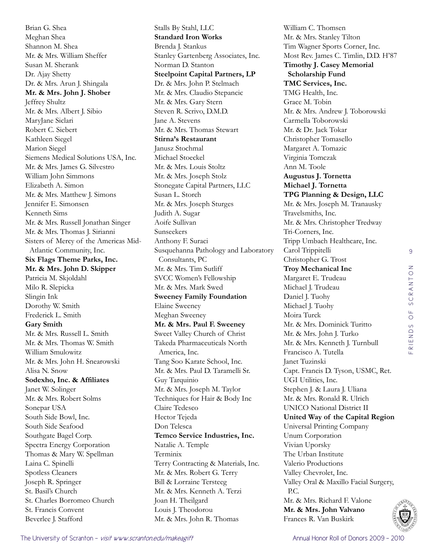Brian G. Shea Meghan Shea Shannon M. Shea Mr. & Mrs. William Sheffer Susan M. Sherank Dr. Ajay Shetty Dr. & Mrs. Arun J. Shingala **Mr. & Mrs. John J. Shober**  Jeffrey Shultz Mr. & Mrs. Albert J. Sibio MaryJane Siclari Robert C. Siebert Kathleen Siegel Marion Siegel Siemens Medical Solutions USA, Inc. Mr. & Mrs. James G. Silvestro William John Simmons Elizabeth A. Simon Mr. & Mrs. Matthew J. Simons Jennifer E. Simonsen Kenneth Sims Mr. & Mrs. Russell Jonathan Singer Mr. & Mrs. Thomas J. Sirianni Sisters of Mercy of the Americas Mid-Atlantic Community, Inc. **Six Flags Theme Parks, Inc. Mr. & Mrs. John D. Skipper**  Patricia M. Skjoldahl Milo R. Slepicka Slingin Ink Dorothy W. Smith Frederick L. Smith **Gary Smith**  Mr. & Mrs. Russell L. Smith Mr. & Mrs. Thomas W. Smith William Smulowitz Mr. & Mrs. John H. Snearowski Alisa N. Snow **Sodexho, Inc. & Affiliates**  Janet W. Solinger Mr. & Mrs. Robert Solms Sonepar USA South Side Bowl, Inc. South Side Seafood Southgate Bagel Corp. Spectra Energy Corporation Thomas & Mary W. Spellman Laina C. Spinelli Spotless Cleaners Joseph R. Springer St. Basil's Church St. Charles Borromeo Church St. Francis Convent Beverlee J. Stafford

Stalls By Stahl, LLC **Standard Iron Works**  Brenda J. Stankus Stanley Gartenberg Associates, Inc. Norman D. Stanton **Steelpoint Capital Partners, LP**  Dr. & Mrs. John P. Stelmach Mr. & Mrs. Claudio Stepancic Mr. & Mrs. Gary Stern Steven R. Scrivo, D.M.D. Jane A. Stevens Mr. & Mrs. Thomas Stewart **Stirna's Restaurant**  Janusz Stochmal Michael Stoeckel Mr. & Mrs. Louis Stoltz Mr. & Mrs. Joseph Stolz Stonegate Capital Partners, LLC Susan L. Storch Mr. & Mrs. Joseph Sturges Judith A. Sugar Aoife Sullivan Sunseekers Anthony F. Suraci Susquehanna Pathology and Laboratory Consultants, PC Mr. & Mrs. Tim Sutliff SVCC Women's Fellowship Mr. & Mrs. Mark Swed **Sweeney Family Foundation**  Elaine Sweeney Meghan Sweeney **Mr. & Mrs. Paul F. Sweeney**  Sweet Valley Church of Christ Takeda Pharmaceuticals North America, Inc. Tang Soo Karate School, Inc. Mr. & Mrs. Paul D. Taramelli Sr. Guy Tarquinio Mr. & Mrs. Joseph M. Taylor Techniques for Hair & Body Inc Claire Tedesco Hector Tejeda Don Telesca **Temco Service Industries, Inc.**  Natalie A. Temple Terminix Terry Contracting & Materials, Inc. Mr. & Mrs. Robert G. Terry Bill & Lorraine Tersteeg Mr. & Mrs. Kenneth A. Terzi Joan H. Theilgard Louis J. Theodorou Mr. & Mrs. John R. Thomas

William C. Thomsen Mr. & Mrs. Stanley Tilton Tim Wagner Sports Corner, Inc. Most Rev. James C. Timlin, D.D. H'87 **Timothy J. Casey Memorial Scholarship Fund TMC Services, Inc.**  TMG Health, Inc. Grace M. Tobin Mr. & Mrs. Andrew J. Toborowski Carmella Toborowski Mr. & Dr. Jack Tokar Christopher Tomasello Margaret A. Tomazic Virginia Tomczak Ann M. Toole **Augustus J. Tornetta Michael J. Tornetta TPG Planning & Design, LLC**  Mr. & Mrs. Joseph M. Tranausky Travelsmiths, Inc. Mr. & Mrs. Christopher Tredway Tri-Corners, Inc. Tripp Umbach Healthcare, Inc. Carol Trippitelli Christopher G. Trost **Troy Mechanical Inc**  Margaret E. Trudeau Michael J. Trudeau Daniel J. Tuohy Michael J. Tuohy Moira Turck Mr. & Mrs. Dominick Turitto Mr. & Mrs. John J. Turko Mr. & Mrs. Kenneth J. Turnbull Francisco A. Tutella Janet Tuzinski Capt. Francis D. Tyson, USMC, Ret. UGI Utilities, Inc. Stephen J. & Laura J. Uliana Mr. & Mrs. Ronald R. Ulrich UNICO National District II **United Way of the Capital Region**  Universal Printing Company Unum Corporation Vivian Uporsky The Urban Institute Valerio Productions Valley Chevrolet, Inc. Valley Oral & Maxillo Facial Surgery, P.C. Mr. & Mrs. Richard F. Valone **Mr. & Mrs. John Valvano**  Frances R. Van Buskirk